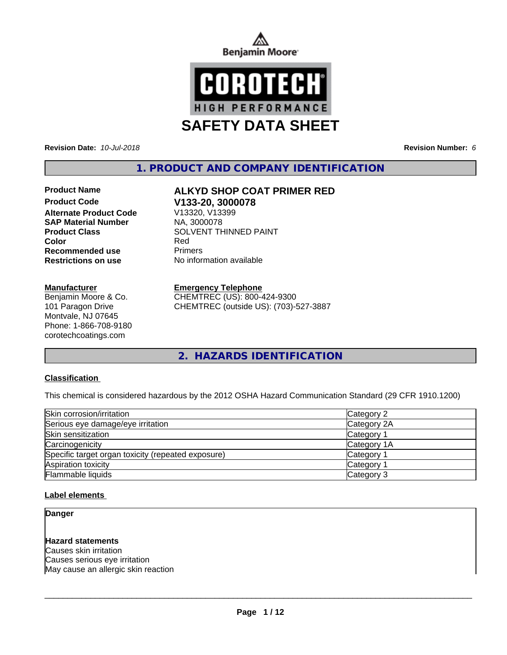



**Revision Date:** *10-Jul-2018* **Revision Number:** *6*

**1. PRODUCT AND COMPANY IDENTIFICATION**

**Product Code V133-20, 3000078 Alternate Product Code SAP Material Number** NA, 3000078 **Recommended use** Primers

### **Manufacturer**

Benjamin Moore & Co. 101 Paragon Drive Montvale, NJ 07645 Phone: 1-866-708-9180 corotechcoatings.com

# **Product Name ALKYD SHOP COAT PRIMER RED**

**Product Class**<br>
Color<br>
Red
Red
Red
Red
SOLVENT THINNED PAINT **Color** Red **Restrictions on use** No information available

## **Emergency Telephone**

CHEMTREC (US): 800-424-9300 CHEMTREC (outside US): (703)-527-3887

**2. HAZARDS IDENTIFICATION**

# **Classification**

This chemical is considered hazardous by the 2012 OSHA Hazard Communication Standard (29 CFR 1910.1200)

| Skin corrosion/irritation                          | Category 2  |  |
|----------------------------------------------------|-------------|--|
| Serious eye damage/eye irritation                  | Category 2A |  |
| Skin sensitization                                 | Category 1  |  |
| Carcinogenicity                                    | Category 1A |  |
| Specific target organ toxicity (repeated exposure) | Category 1  |  |
| Aspiration toxicity                                | Category 1  |  |
| Flammable liquids                                  | Category 3  |  |

### **Label elements**

**Danger**

### **Hazard statements**

Causes skin irritation Causes serious eye irritation May cause an allergic skin reaction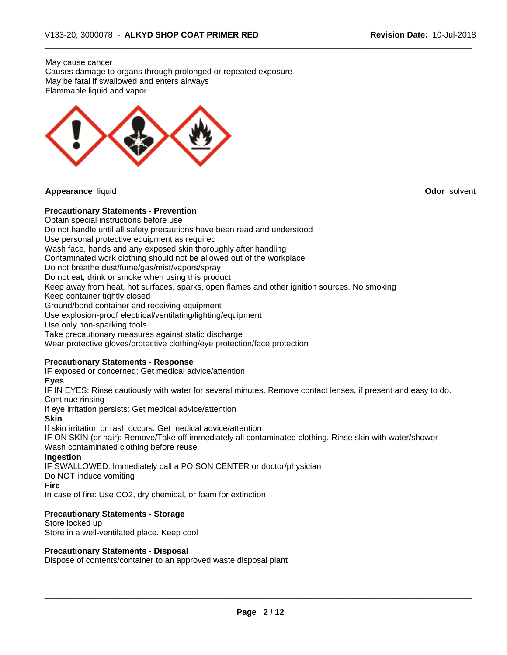

### **Precautionary Statements - Storage**

Store locked up Store in a well-ventilated place. Keep cool

#### **Precautionary Statements - Disposal**

Dispose of contents/container to an approved waste disposal plant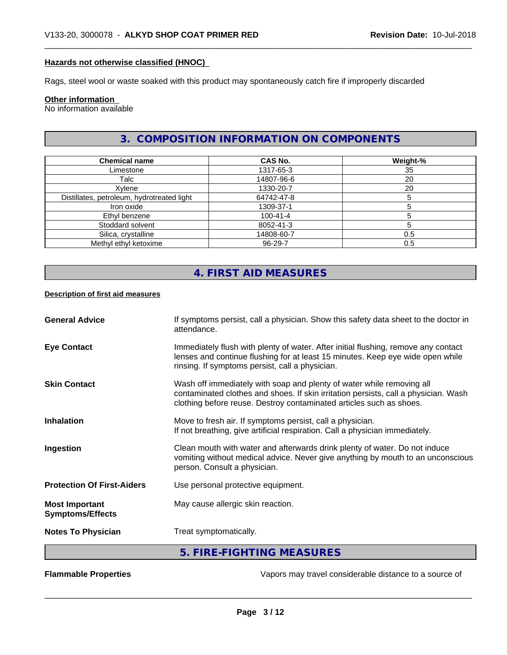## **Hazards not otherwise classified (HNOC)**

Rags, steel wool or waste soaked with this product may spontaneously catch fire if improperly discarded

# **Other information**

No information available

# **3. COMPOSITION INFORMATION ON COMPONENTS**

| <b>Chemical name</b>                       | <b>CAS No.</b> | Weight-% |
|--------------------------------------------|----------------|----------|
| Limestone                                  | 1317-65-3      | 35       |
| Talc                                       | 14807-96-6     | 20       |
| Xylene                                     | 1330-20-7      | 20       |
| Distillates, petroleum, hydrotreated light | 64742-47-8     |          |
| Iron oxide                                 | 1309-37-1      |          |
| Ethyl benzene                              | $100 - 41 - 4$ |          |
| Stoddard solvent                           | 8052-41-3      |          |
| Silica, crystalline                        | 14808-60-7     | 0.5      |
| Methyl ethyl ketoxime                      | 96-29-7        | 0.5      |

# **4. FIRST AID MEASURES**

#### **Description of first aid measures**

| <b>General Advice</b>                            | If symptoms persist, call a physician. Show this safety data sheet to the doctor in<br>attendance.                                                                                                                                  |
|--------------------------------------------------|-------------------------------------------------------------------------------------------------------------------------------------------------------------------------------------------------------------------------------------|
| <b>Eye Contact</b>                               | Immediately flush with plenty of water. After initial flushing, remove any contact<br>lenses and continue flushing for at least 15 minutes. Keep eye wide open while<br>rinsing. If symptoms persist, call a physician.             |
| <b>Skin Contact</b>                              | Wash off immediately with soap and plenty of water while removing all<br>contaminated clothes and shoes. If skin irritation persists, call a physician. Wash<br>clothing before reuse. Destroy contaminated articles such as shoes. |
| <b>Inhalation</b>                                | Move to fresh air. If symptoms persist, call a physician.<br>If not breathing, give artificial respiration. Call a physician immediately.                                                                                           |
| Ingestion                                        | Clean mouth with water and afterwards drink plenty of water. Do not induce<br>vomiting without medical advice. Never give anything by mouth to an unconscious<br>person. Consult a physician.                                       |
| <b>Protection Of First-Aiders</b>                | Use personal protective equipment.                                                                                                                                                                                                  |
| <b>Most Important</b><br><b>Symptoms/Effects</b> | May cause allergic skin reaction.                                                                                                                                                                                                   |
| <b>Notes To Physician</b>                        | Treat symptomatically.                                                                                                                                                                                                              |
|                                                  | 5. FIRE-FIGHTING MEASURES                                                                                                                                                                                                           |

**Flammable Properties Exercise Exercise Exercise 2 and Secure 1** Vapors may travel considerable distance to a source of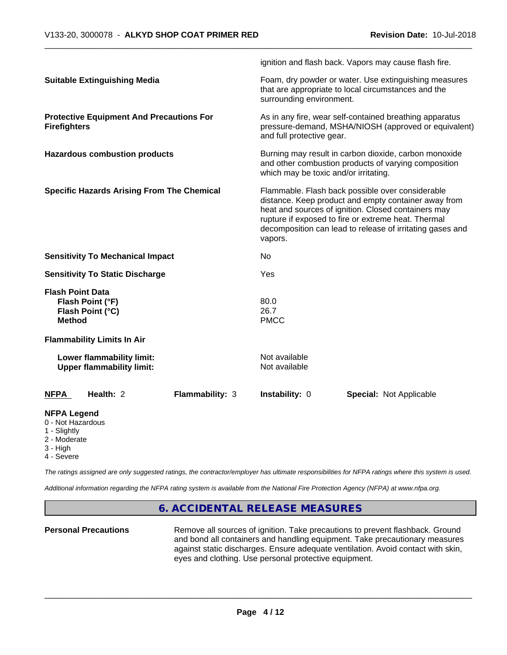|                                                                                                   |                 |                                                                                                                                                                                                                                                                                                | ignition and flash back. Vapors may cause flash fire. |  |
|---------------------------------------------------------------------------------------------------|-----------------|------------------------------------------------------------------------------------------------------------------------------------------------------------------------------------------------------------------------------------------------------------------------------------------------|-------------------------------------------------------|--|
| <b>Suitable Extinguishing Media</b>                                                               |                 | Foam, dry powder or water. Use extinguishing measures<br>that are appropriate to local circumstances and the<br>surrounding environment.                                                                                                                                                       |                                                       |  |
| <b>Protective Equipment And Precautions For</b><br><b>Firefighters</b>                            |                 | As in any fire, wear self-contained breathing apparatus<br>pressure-demand, MSHA/NIOSH (approved or equivalent)<br>and full protective gear.                                                                                                                                                   |                                                       |  |
| <b>Hazardous combustion products</b>                                                              |                 | Burning may result in carbon dioxide, carbon monoxide<br>and other combustion products of varying composition<br>which may be toxic and/or irritating.                                                                                                                                         |                                                       |  |
| <b>Specific Hazards Arising From The Chemical</b>                                                 |                 | Flammable. Flash back possible over considerable<br>distance. Keep product and empty container away from<br>heat and sources of ignition. Closed containers may<br>rupture if exposed to fire or extreme heat. Thermal<br>decomposition can lead to release of irritating gases and<br>vapors. |                                                       |  |
| <b>Sensitivity To Mechanical Impact</b>                                                           |                 | No                                                                                                                                                                                                                                                                                             |                                                       |  |
| <b>Sensitivity To Static Discharge</b>                                                            |                 | Yes                                                                                                                                                                                                                                                                                            |                                                       |  |
| <b>Flash Point Data</b><br>Flash Point (°F)<br>Flash Point (°C)<br><b>Method</b>                  |                 | 80.0<br>26.7<br><b>PMCC</b>                                                                                                                                                                                                                                                                    |                                                       |  |
| <b>Flammability Limits In Air</b>                                                                 |                 |                                                                                                                                                                                                                                                                                                |                                                       |  |
| Lower flammability limit:<br><b>Upper flammability limit:</b>                                     |                 | Not available<br>Not available                                                                                                                                                                                                                                                                 |                                                       |  |
| Health: 2<br><b>NFPA</b>                                                                          | Flammability: 3 | Instability: 0                                                                                                                                                                                                                                                                                 | <b>Special: Not Applicable</b>                        |  |
| <b>NFPA Legend</b><br>0 - Not Hazardous<br>1 - Slightly<br>2 - Moderate<br>3 - High<br>4 - Severe |                 |                                                                                                                                                                                                                                                                                                |                                                       |  |

*The ratings assigned are only suggested ratings, the contractor/employer has ultimate responsibilities for NFPA ratings where this system is used.*

*Additional information regarding the NFPA rating system is available from the National Fire Protection Agency (NFPA) at www.nfpa.org.*

# **6. ACCIDENTAL RELEASE MEASURES**

**Personal Precautions** Remove all sources of ignition. Take precautions to prevent flashback. Ground and bond all containers and handling equipment. Take precautionary measures against static discharges. Ensure adequate ventilation. Avoid contact with skin, eyes and clothing. Use personal protective equipment.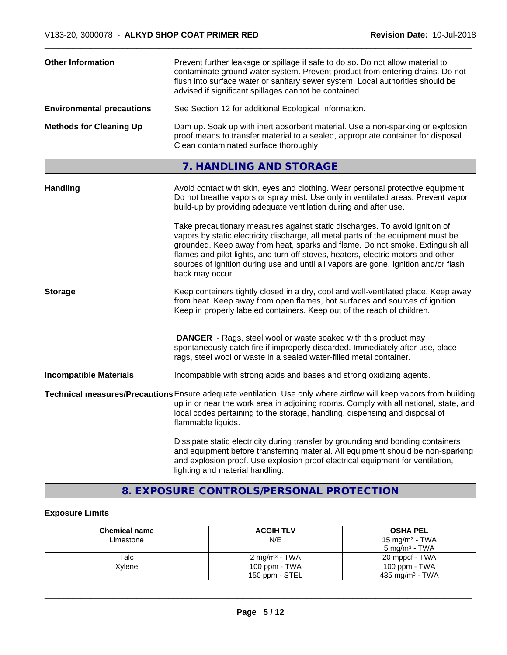| <b>Other Information</b><br>Prevent further leakage or spillage if safe to do so. Do not allow material to<br>contaminate ground water system. Prevent product from entering drains. Do not<br>flush into surface water or sanitary sewer system. Local authorities should be<br>advised if significant spillages cannot be contained. |                                                                                                                                                                                                                                                                                                                                                                                                                                                |  |
|----------------------------------------------------------------------------------------------------------------------------------------------------------------------------------------------------------------------------------------------------------------------------------------------------------------------------------------|------------------------------------------------------------------------------------------------------------------------------------------------------------------------------------------------------------------------------------------------------------------------------------------------------------------------------------------------------------------------------------------------------------------------------------------------|--|
| <b>Environmental precautions</b>                                                                                                                                                                                                                                                                                                       | See Section 12 for additional Ecological Information.                                                                                                                                                                                                                                                                                                                                                                                          |  |
| <b>Methods for Cleaning Up</b>                                                                                                                                                                                                                                                                                                         | Dam up. Soak up with inert absorbent material. Use a non-sparking or explosion<br>proof means to transfer material to a sealed, appropriate container for disposal.<br>Clean contaminated surface thoroughly.                                                                                                                                                                                                                                  |  |
|                                                                                                                                                                                                                                                                                                                                        | 7. HANDLING AND STORAGE                                                                                                                                                                                                                                                                                                                                                                                                                        |  |
| <b>Handling</b>                                                                                                                                                                                                                                                                                                                        | Avoid contact with skin, eyes and clothing. Wear personal protective equipment.<br>Do not breathe vapors or spray mist. Use only in ventilated areas. Prevent vapor<br>build-up by providing adequate ventilation during and after use.                                                                                                                                                                                                        |  |
|                                                                                                                                                                                                                                                                                                                                        | Take precautionary measures against static discharges. To avoid ignition of<br>vapors by static electricity discharge, all metal parts of the equipment must be<br>grounded. Keep away from heat, sparks and flame. Do not smoke. Extinguish all<br>flames and pilot lights, and turn off stoves, heaters, electric motors and other<br>sources of ignition during use and until all vapors are gone. Ignition and/or flash<br>back may occur. |  |
| <b>Storage</b>                                                                                                                                                                                                                                                                                                                         | Keep containers tightly closed in a dry, cool and well-ventilated place. Keep away<br>from heat. Keep away from open flames, hot surfaces and sources of ignition.<br>Keep in properly labeled containers. Keep out of the reach of children.                                                                                                                                                                                                  |  |
|                                                                                                                                                                                                                                                                                                                                        | <b>DANGER</b> - Rags, steel wool or waste soaked with this product may<br>spontaneously catch fire if improperly discarded. Immediately after use, place<br>rags, steel wool or waste in a sealed water-filled metal container.                                                                                                                                                                                                                |  |
| <b>Incompatible Materials</b>                                                                                                                                                                                                                                                                                                          | Incompatible with strong acids and bases and strong oxidizing agents.                                                                                                                                                                                                                                                                                                                                                                          |  |
|                                                                                                                                                                                                                                                                                                                                        | Technical measures/Precautions Ensure adequate ventilation. Use only where airflow will keep vapors from building<br>up in or near the work area in adjoining rooms. Comply with all national, state, and<br>local codes pertaining to the storage, handling, dispensing and disposal of<br>flammable liquids.                                                                                                                                 |  |
|                                                                                                                                                                                                                                                                                                                                        | Dissipate static electricity during transfer by grounding and bonding containers<br>and equipment before transferring material. All equipment should be non-sparking<br>and explosion proof. Use explosion proof electrical equipment for ventilation,<br>lighting and material handling.                                                                                                                                                      |  |

# **8. EXPOSURE CONTROLS/PERSONAL PROTECTION**

# **Exposure Limits**

| <b>Chemical name</b> | <b>ACGIH TLV</b>          | <b>OSHA PEL</b>            |
|----------------------|---------------------------|----------------------------|
| Limestone            | N/E                       | 15 mg/m <sup>3</sup> - TWA |
|                      |                           | 5 mg/m <sup>3</sup> - TWA  |
| Talc                 | 2 mg/m <sup>3</sup> - TWA | 20 mppcf - TWA             |
| Xylene               | 100 ppm - TWA             | 100 ppm - TWA              |
|                      | 150 ppm - STEL            | 435 mg/m $3$ - TWA         |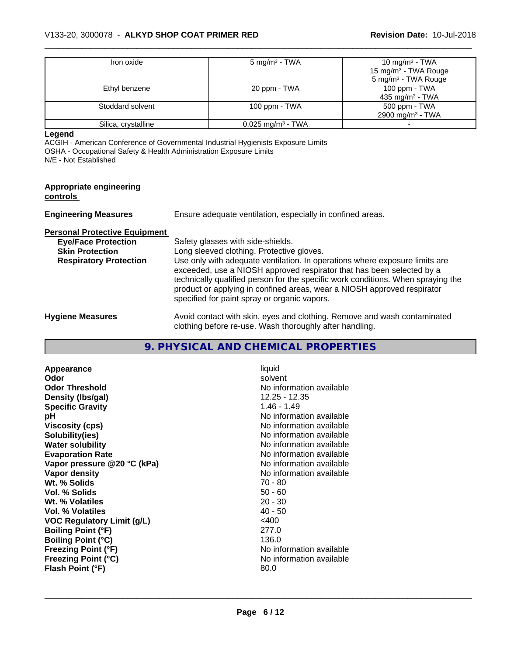| Iron oxide          | $5 \text{ mg/m}^3$ - TWA        | 10 mg/m $3$ - TWA                |
|---------------------|---------------------------------|----------------------------------|
|                     |                                 | 15 mg/m <sup>3</sup> - TWA Rouge |
|                     |                                 | 5 mg/m <sup>3</sup> - TWA Rouge  |
| Ethyl benzene       | 20 ppm - TWA                    | 100 ppm $-$ TWA                  |
|                     |                                 | 435 mg/m <sup>3</sup> - TWA      |
| Stoddard solvent    | 100 ppm - $TWA$                 | 500 ppm - TWA                    |
|                     |                                 | 2900 mg/m <sup>3</sup> - TWA     |
| Silica, crystalline | $0.025$ mg/m <sup>3</sup> - TWA |                                  |

**Legend**

ACGIH - American Conference of Governmental Industrial Hygienists Exposure Limits OSHA - Occupational Safety & Health Administration Exposure Limits N/E - Not Established

| <b>Appropriate engineering</b><br>controls |                                                                                                                                                                                                                                                                                                                                                                     |  |  |
|--------------------------------------------|---------------------------------------------------------------------------------------------------------------------------------------------------------------------------------------------------------------------------------------------------------------------------------------------------------------------------------------------------------------------|--|--|
| <b>Engineering Measures</b>                | Ensure adequate ventilation, especially in confined areas.                                                                                                                                                                                                                                                                                                          |  |  |
| <b>Personal Protective Equipment</b>       |                                                                                                                                                                                                                                                                                                                                                                     |  |  |
| <b>Eye/Face Protection</b>                 | Safety glasses with side-shields.                                                                                                                                                                                                                                                                                                                                   |  |  |
| <b>Skin Protection</b>                     | Long sleeved clothing. Protective gloves.                                                                                                                                                                                                                                                                                                                           |  |  |
| <b>Respiratory Protection</b>              | Use only with adequate ventilation. In operations where exposure limits are<br>exceeded, use a NIOSH approved respirator that has been selected by a<br>technically qualified person for the specific work conditions. When spraying the<br>product or applying in confined areas, wear a NIOSH approved respirator<br>specified for paint spray or organic vapors. |  |  |
| <b>Hygiene Measures</b>                    | Avoid contact with skin, eyes and clothing. Remove and wash contaminated<br>clothing before re-use. Wash thoroughly after handling.                                                                                                                                                                                                                                 |  |  |

# **9. PHYSICAL AND CHEMICAL PROPERTIES**

| Appearance                        | liquid                   |
|-----------------------------------|--------------------------|
| Odor                              | solvent                  |
| <b>Odor Threshold</b>             | No information available |
| Density (Ibs/gal)                 | 12.25 - 12.35            |
| <b>Specific Gravity</b>           | $1.46 - 1.49$            |
| рH                                | No information available |
| <b>Viscosity (cps)</b>            | No information available |
| Solubility(ies)                   | No information available |
| <b>Water solubility</b>           | No information available |
| <b>Evaporation Rate</b>           | No information available |
| Vapor pressure @20 °C (kPa)       | No information available |
| Vapor density                     | No information available |
| Wt. % Solids                      | 70 - 80                  |
| Vol. % Solids                     | $50 - 60$                |
| Wt. % Volatiles                   | $20 - 30$                |
| Vol. % Volatiles                  | $40 - 50$                |
| <b>VOC Regulatory Limit (g/L)</b> | $<$ 400                  |
| <b>Boiling Point (°F)</b>         | 277.0                    |
| <b>Boiling Point (°C)</b>         | 136.0                    |
| <b>Freezing Point (°F)</b>        | No information available |
| <b>Freezing Point (°C)</b>        | No information available |
| Flash Point (°F)                  | 80.0                     |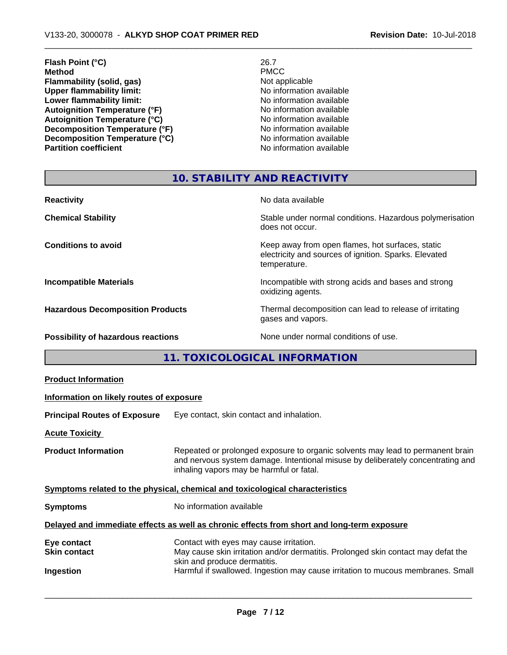# **Flash Point (°C)** 26.7<br> **Method** PMCC **Method** PMCC **Flammability (solid, gas)**<br> **Commability limit:**<br>
Upper flammability limit:<br>
No information available **Upper flammability limit:**<br> **Lower flammability limit:**<br>
No information available<br>
No information available **Lower flammability limit:**<br> **Autoignition Temperature (°F)**<br>
Mo information available<br>
No information available Autoignition Temperature (°F)<br>
Autoignition Temperature (°C)<br>
No information available **Autoignition Temperature (°C) Decomposition Temperature (°F)**<br> **Decomposition Temperature (°C)** No information available **Decomposition Temperature (°C)**<br>Partition coefficient

**No information available** 

# **10. STABILITY AND REACTIVITY**

| <b>Reactivity</b>                       | No data available                                                                                                         |
|-----------------------------------------|---------------------------------------------------------------------------------------------------------------------------|
| <b>Chemical Stability</b>               | Stable under normal conditions. Hazardous polymerisation<br>does not occur.                                               |
| <b>Conditions to avoid</b>              | Keep away from open flames, hot surfaces, static<br>electricity and sources of ignition. Sparks. Elevated<br>temperature. |
| <b>Incompatible Materials</b>           | Incompatible with strong acids and bases and strong<br>oxidizing agents.                                                  |
| <b>Hazardous Decomposition Products</b> | Thermal decomposition can lead to release of irritating<br>gases and vapors.                                              |
| Possibility of hazardous reactions      | None under normal conditions of use.                                                                                      |

**11. TOXICOLOGICAL INFORMATION**

| <b>Product Information</b>                                                                 |                                          |                                                                                                                                                                                                               |
|--------------------------------------------------------------------------------------------|------------------------------------------|---------------------------------------------------------------------------------------------------------------------------------------------------------------------------------------------------------------|
|                                                                                            | Information on likely routes of exposure |                                                                                                                                                                                                               |
|                                                                                            | <b>Principal Routes of Exposure</b>      | Eye contact, skin contact and inhalation.                                                                                                                                                                     |
|                                                                                            | <b>Acute Toxicity</b>                    |                                                                                                                                                                                                               |
|                                                                                            | <b>Product Information</b>               | Repeated or prolonged exposure to organic solvents may lead to permanent brain<br>and nervous system damage. Intentional misuse by deliberately concentrating and<br>inhaling vapors may be harmful or fatal. |
| Symptoms related to the physical, chemical and toxicological characteristics               |                                          |                                                                                                                                                                                                               |
|                                                                                            | <b>Symptoms</b>                          | No information available                                                                                                                                                                                      |
| Delayed and immediate effects as well as chronic effects from short and long-term exposure |                                          |                                                                                                                                                                                                               |
|                                                                                            | Eye contact<br><b>Skin contact</b>       | Contact with eyes may cause irritation.<br>May cause skin irritation and/or dermatitis. Prolonged skin contact may defat the<br>skin and produce dermatitis.                                                  |
|                                                                                            | Ingestion                                | Harmful if swallowed. Ingestion may cause irritation to mucous membranes. Small                                                                                                                               |
|                                                                                            |                                          |                                                                                                                                                                                                               |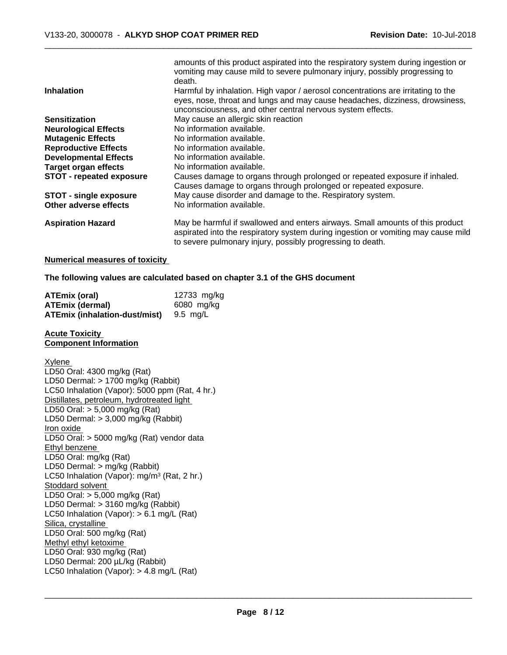|                                 | amounts of this product aspirated into the respiratory system during ingestion or<br>vomiting may cause mild to severe pulmonary injury, possibly progressing to<br>death.                                                       |
|---------------------------------|----------------------------------------------------------------------------------------------------------------------------------------------------------------------------------------------------------------------------------|
| <b>Inhalation</b>               | Harmful by inhalation. High vapor / aerosol concentrations are irritating to the<br>eyes, nose, throat and lungs and may cause headaches, dizziness, drowsiness,<br>unconsciousness, and other central nervous system effects.   |
| <b>Sensitization</b>            | May cause an allergic skin reaction                                                                                                                                                                                              |
| <b>Neurological Effects</b>     | No information available.                                                                                                                                                                                                        |
| <b>Mutagenic Effects</b>        | No information available.                                                                                                                                                                                                        |
| <b>Reproductive Effects</b>     | No information available.                                                                                                                                                                                                        |
| <b>Developmental Effects</b>    | No information available.                                                                                                                                                                                                        |
| <b>Target organ effects</b>     | No information available.                                                                                                                                                                                                        |
| <b>STOT - repeated exposure</b> | Causes damage to organs through prolonged or repeated exposure if inhaled.<br>Causes damage to organs through prolonged or repeated exposure.                                                                                    |
| <b>STOT - single exposure</b>   | May cause disorder and damage to the. Respiratory system.                                                                                                                                                                        |
| Other adverse effects           | No information available.                                                                                                                                                                                                        |
| <b>Aspiration Hazard</b>        | May be harmful if swallowed and enters airways. Small amounts of this product<br>aspirated into the respiratory system during ingestion or vomiting may cause mild<br>to severe pulmonary injury, possibly progressing to death. |

#### **Numerical measures of toxicity**

**The following values are calculated based on chapter 3.1 of the GHS document**

| <b>ATEmix (oral)</b>                   | 12733 mg/kg |
|----------------------------------------|-------------|
| <b>ATEmix (dermal)</b>                 | 6080 mg/kg  |
| ATEmix (inhalation-dust/mist) 9.5 mg/L |             |

#### **Acute Toxicity Component Information**

#### Xylene

LD50 Oral: 4300 mg/kg (Rat) LD50 Dermal: > 1700 mg/kg (Rabbit) LC50 Inhalation (Vapor): 5000 ppm (Rat, 4 hr.) Distillates, petroleum, hydrotreated light LD50 Oral: > 5,000 mg/kg (Rat) LD50 Dermal: > 3,000 mg/kg (Rabbit) Iron oxide LD50 Oral: > 5000 mg/kg (Rat) vendor data Ethyl benzene LD50 Oral: mg/kg (Rat) LD50 Dermal: > mg/kg (Rabbit) LC50 Inhalation (Vapor): mg/m<sup>3</sup> (Rat, 2 hr.) Stoddard solvent LD50 Oral: > 5,000 mg/kg (Rat) LD50 Dermal: > 3160 mg/kg (Rabbit) LC50 Inhalation (Vapor):  $> 6.1$  mg/L (Rat) Silica, crystalline LD50 Oral: 500 mg/kg (Rat) Methyl ethyl ketoxime LD50 Oral: 930 mg/kg (Rat) LD50 Dermal: 200 µL/kg (Rabbit) LC50 Inhalation (Vapor): > 4.8 mg/L (Rat)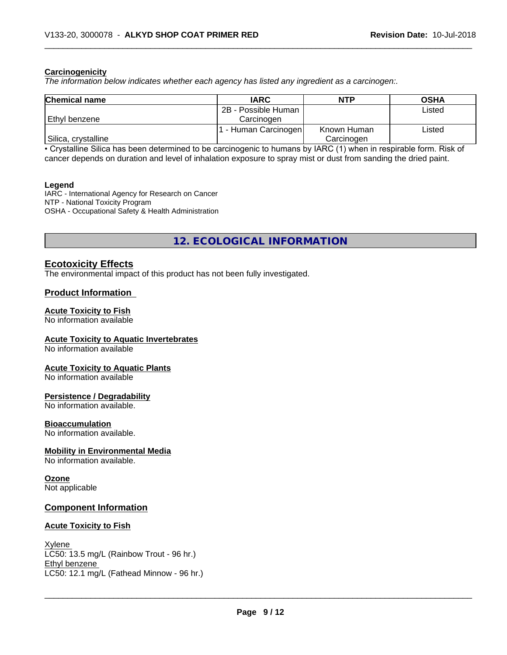### **Carcinogenicity**

*The information below indicateswhether each agency has listed any ingredient as a carcinogen:.*

| <b>Chemical name</b> | <b>IARC</b>         | <b>NTP</b>  | <b>OSHA</b> |
|----------------------|---------------------|-------------|-------------|
|                      | 2B - Possible Human |             | Listed      |
| Ethyl benzene        | Carcinoɑen          |             |             |
|                      | - Human Carcinogen  | Known Human | Listed      |
| Silica, crystalline  |                     | Carcinogen  |             |

• Crystalline Silica has been determined to be carcinogenic to humans by IARC (1) when in respirable form. Risk of cancer depends on duration and level of inhalation exposure to spray mist or dust from sanding the dried paint.

#### **Legend**

IARC - International Agency for Research on Cancer NTP - National Toxicity Program OSHA - Occupational Safety & Health Administration

**12. ECOLOGICAL INFORMATION**

# **Ecotoxicity Effects**

The environmental impact of this product has not been fully investigated.

## **Product Information**

#### **Acute Toxicity to Fish**

No information available

### **Acute Toxicity to Aquatic Invertebrates**

No information available

### **Acute Toxicity to Aquatic Plants**

No information available

# **Persistence / Degradability**

No information available.

#### **Bioaccumulation**

No information available.

### **Mobility in Environmental Media**

No information available.

# **Ozone**

Not applicable

### **Component Information**

### **Acute Toxicity to Fish**

**Xylene** LC50: 13.5 mg/L (Rainbow Trout - 96 hr.) Ethyl benzene \_\_\_\_\_\_\_\_\_\_\_\_\_\_\_\_\_\_\_\_\_\_\_\_\_\_\_\_\_\_\_\_\_\_\_\_\_\_\_\_\_\_\_\_\_\_\_\_\_\_\_\_\_\_\_\_\_\_\_\_\_\_\_\_\_\_\_\_\_\_\_\_\_\_\_\_\_\_\_\_\_\_\_\_\_\_\_\_\_\_\_\_\_ LC50: 12.1 mg/L (Fathead Minnow - 96 hr.)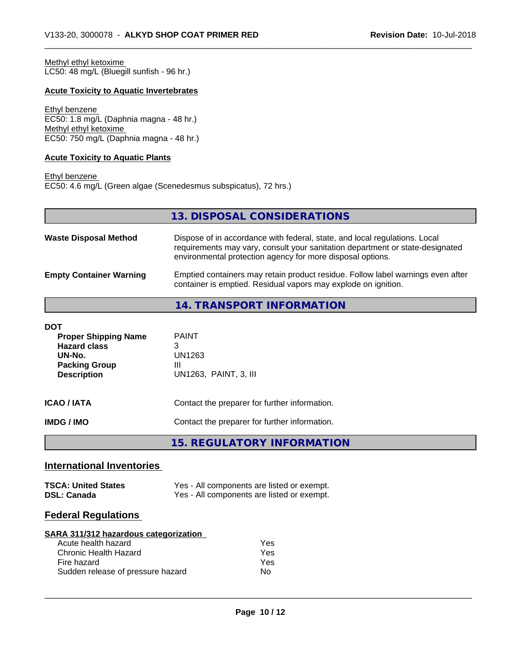Methyl ethyl ketoxime LC50: 48 mg/L (Bluegill sunfish - 96 hr.)

## **Acute Toxicity to Aquatic Invertebrates**

Ethyl benzene EC50: 1.8 mg/L (Daphnia magna - 48 hr.) Methyl ethyl ketoxime EC50: 750 mg/L (Daphnia magna - 48 hr.)

### **Acute Toxicity to Aquatic Plants**

Ethyl benzene EC50: 4.6 mg/L (Green algae (Scenedesmus subspicatus), 72 hrs.)

**13. DISPOSAL CONSIDERATIONS**

| <b>Waste Disposal Method</b>   | Dispose of in accordance with federal, state, and local regulations. Local<br>requirements may vary, consult your sanitation department or state-designated<br>environmental protection agency for more disposal options. |
|--------------------------------|---------------------------------------------------------------------------------------------------------------------------------------------------------------------------------------------------------------------------|
| <b>Empty Container Warning</b> | Emptied containers may retain product residue. Follow label warnings even after<br>container is emptied. Residual vapors may explode on ignition.                                                                         |

# **14. TRANSPORT INFORMATION**

| DOT<br><b>Proper Shipping Name</b><br><b>Hazard class</b><br>UN-No.<br><b>Packing Group</b><br><b>Description</b> | <b>PAINT</b><br>3<br>UN1263<br>Ш<br>UN1263, PAINT, 3, III |
|-------------------------------------------------------------------------------------------------------------------|-----------------------------------------------------------|
| ICAO / IATA                                                                                                       | Contact the preparer for further information.             |
| IMDG / IMO                                                                                                        | Contact the preparer for further information.             |
|                                                                                                                   | <b>15. REGULATORY INFORMATION</b>                         |

# **International Inventories**

| <b>TSCA: United States</b> | Yes - All components are listed or exempt. |
|----------------------------|--------------------------------------------|
| <b>DSL: Canada</b>         | Yes - All components are listed or exempt. |

# **Federal Regulations**

| SARA 311/312 hazardous categorization |     |  |
|---------------------------------------|-----|--|
| Acute health hazard                   | Yes |  |
| Chronic Health Hazard                 | Yes |  |
| Fire hazard                           | Yes |  |
| Sudden release of pressure hazard     | Nο  |  |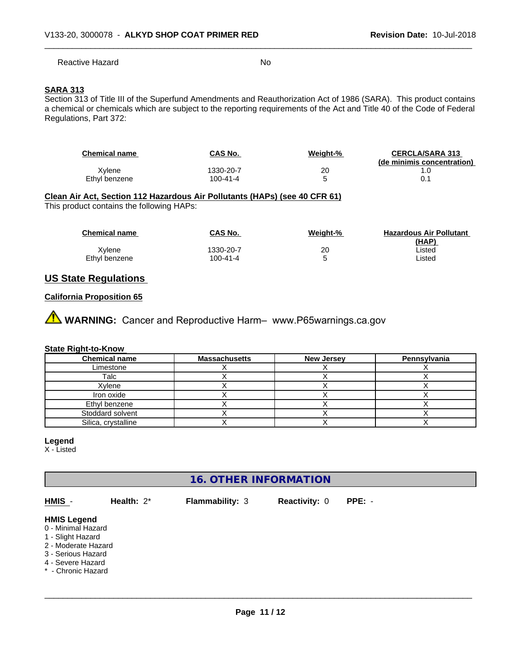Reactive Hazard No

# **SARA 313**

Section 313 of Title III of the Superfund Amendments and Reauthorization Act of 1986 (SARA). This product contains a chemical or chemicals which are subject to the reporting requirements of the Act and Title 40 of the Code of Federal Regulations, Part 372:

| <b>Chemical name</b> | CAS No.   | Weight-% | <b>CERCLA/SARA 313</b>     |
|----------------------|-----------|----------|----------------------------|
|                      |           |          | (de minimis concentration) |
| Xvlene               | 1330-20-7 | 20       |                            |
| Ethyl benzene        | 100-41-4  |          | 0.1                        |

# **Clean Air Act,Section 112 Hazardous Air Pollutants (HAPs) (see 40 CFR 61)**

This product contains the following HAPs:

| <b>Chemical name</b> | CAS No.   | Weight-% | <b>Hazardous Air Pollutant</b><br>(HAP) |
|----------------------|-----------|----------|-----------------------------------------|
| Xvlene               | 1330-20-7 | 20       | Listed                                  |
| Ethvl benzene        | 100-41-4  |          | ∟isted                                  |

# **US State Regulations**

# **California Proposition 65**

**AVIMARNING:** Cancer and Reproductive Harm– www.P65warnings.ca.gov

### **State Right-to-Know**

| <b>Chemical name</b> | <b>Massachusetts</b> | <b>New Jersey</b> | Pennsylvania |
|----------------------|----------------------|-------------------|--------------|
| Limestone            |                      |                   |              |
| Talc                 |                      |                   |              |
| Xylene               |                      |                   |              |
| Iron oxide           |                      |                   |              |
| Ethyl benzene        |                      |                   |              |
| Stoddard solvent     |                      |                   |              |
| Silica, crystalline  |                      |                   |              |

### **Legend**

X - Listed

# **16. OTHER INFORMATION**

**HMIS** - **Health:** 2\* **Flammability:** 3 **Reactivity:** 0 **PPE:** - **HMIS Legend** 0 - Minimal Hazard 1 - Slight Hazard

2 - Moderate Hazard

3 - Serious Hazard

4 - Severe Hazard

\* - Chronic Hazard